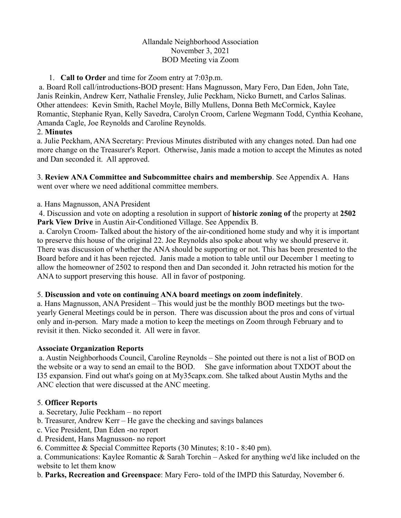# Allandale Neighborhood Association November 3, 2021 BOD Meeting via Zoom

## 1. **Call to Order** and time for Zoom entry at 7:03p.m.

a. Board Roll call/introductions-BOD present: Hans Magnusson, Mary Fero, Dan Eden, John Tate, Janis Reinkin, Andrew Kerr, Nathalie Frensley, Julie Peckham, Nicko Burnett, and Carlos Salinas. Other attendees: Kevin Smith, Rachel Moyle, Billy Mullens, Donna Beth McCormick, Kaylee Romantic, Stephanie Ryan, Kelly Savedra, Carolyn Croom, Carlene Wegmann Todd, Cynthia Keohane, Amanda Cagle, Joe Reynolds and Caroline Reynolds.

## 2. **Minutes**

a. Julie Peckham, ANA Secretary: Previous Minutes distributed with any changes noted. Dan had one more change on the Treasurer's Report. Otherwise, Janis made a motion to accept the Minutes as noted and Dan seconded it. All approved.

3. **Review ANA Committee and Subcommittee chairs and membership**. See Appendix A. Hans went over where we need additional committee members.

a. Hans Magnusson, ANA President

4. Discussion and vote on adopting a resolution in support of **historic zoning of** the property at **2502 Park View Drive** in Austin Air-Conditioned Village. See Appendix B.

a. Carolyn Croom- Talked about the history of the air-conditioned home study and why it is important to preserve this house of the original 22. Joe Reynolds also spoke about why we should preserve it. There was discussion of whether the ANA should be supporting or not. This has been presented to the Board before and it has been rejected. Janis made a motion to table until our December 1 meeting to allow the homeowner of 2502 to respond then and Dan seconded it. John retracted his motion for the ANA to support preserving this house. All in favor of postponing.

## 5. **Discussion and vote on continuing ANA board meetings on zoom indefinitely**.

a. Hans Magnusson, ANA President – This would just be the monthly BOD meetings but the twoyearly General Meetings could be in person. There was discussion about the pros and cons of virtual only and in-person. Mary made a motion to keep the meetings on Zoom through February and to revisit it then. Nicko seconded it. All were in favor.

## **Associate Organization Reports**

a. Austin Neighborhoods Council, Caroline Reynolds – She pointed out there is not a list of BOD on the website or a way to send an email to the BOD. She gave information about TXDOT about the I35 expansion. Find out what's going on at My35capx.com. She talked about Austin Myths and the ANC election that were discussed at the ANC meeting.

## 5. **Officer Reports**

- a. Secretary, Julie Peckham no report
- b. Treasurer, Andrew Kerr He gave the checking and savings balances
- c. Vice President, Dan Eden -no report
- d. President, Hans Magnusson- no report
- 6. Committee & Special Committee Reports (30 Minutes; 8:10 8:40 pm).

a. Communications: Kaylee Romantic & Sarah Torchin – Asked for anything we'd like included on the website to let them know

b. **Parks, Recreation and Greenspace**: Mary Fero- told of the IMPD this Saturday, November 6.